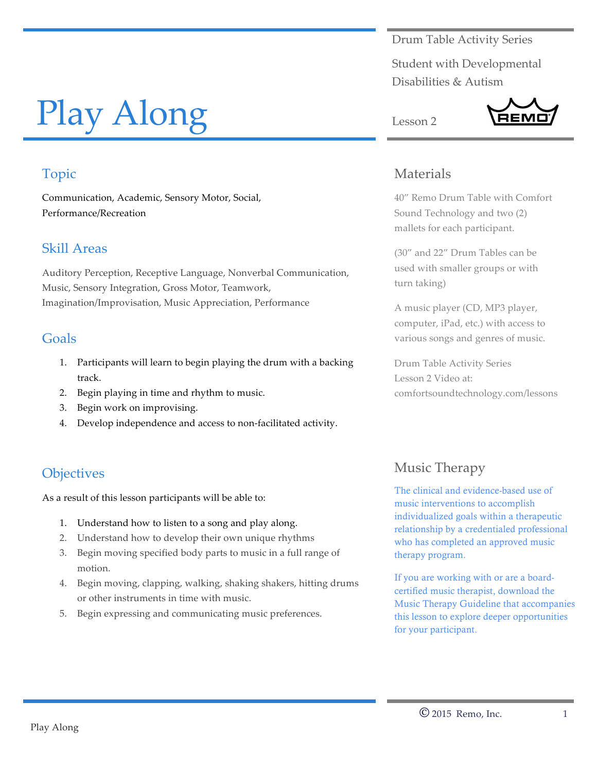Drum Table Activity Series

Student with Developmental Disabilities & Autism

REMO

# Play Along

# Topic

Communication, Academic, Sensory Motor, Social, Performance/Recreation

#### Skill Areas

Auditory Perception, Receptive Language, Nonverbal Communication, Music, Sensory Integration, Gross Motor, Teamwork, Imagination/Improvisation, Music Appreciation, Performance

## Goals

- 1. Participants will learn to begin playing the drum with a backing track.
- 2. Begin playing in time and rhythm to music.
- 3. Begin work on improvising.
- 4. Develop independence and access to non-facilitated activity.

# **Objectives**

As a result of this lesson participants will be able to:

- 1. Understand how to listen to a song and play along.
- 2. Understand how to develop their own unique rhythms
- 3. Begin moving specified body parts to music in a full range of motion.
- 4. Begin moving, clapping, walking, shaking shakers, hitting drums or other instruments in time with music.
- 5. Begin expressing and communicating music preferences.

#### Materials

Lesson 2

40" Remo Drum Table with Comfort Sound Technology and two (2) mallets for each participant.

(30" and 22" Drum Tables can be used with smaller groups or with turn taking)

A music player (CD, MP3 player, computer, iPad, etc.) with access to various songs and genres of music.

Drum Table Activity Series Lesson 2 Video at: comfortsoundtechnology.com/lessons

# Music Therapy

The clinical and evidence-based use of music interventions to accomplish individualized goals within a therapeutic relationship by a credentialed professional who has completed an approved music therapy program.

If you are working with or are a boardcertified music therapist, download the Music Therapy Guideline that accompanies this lesson to explore deeper opportunities for your participant.